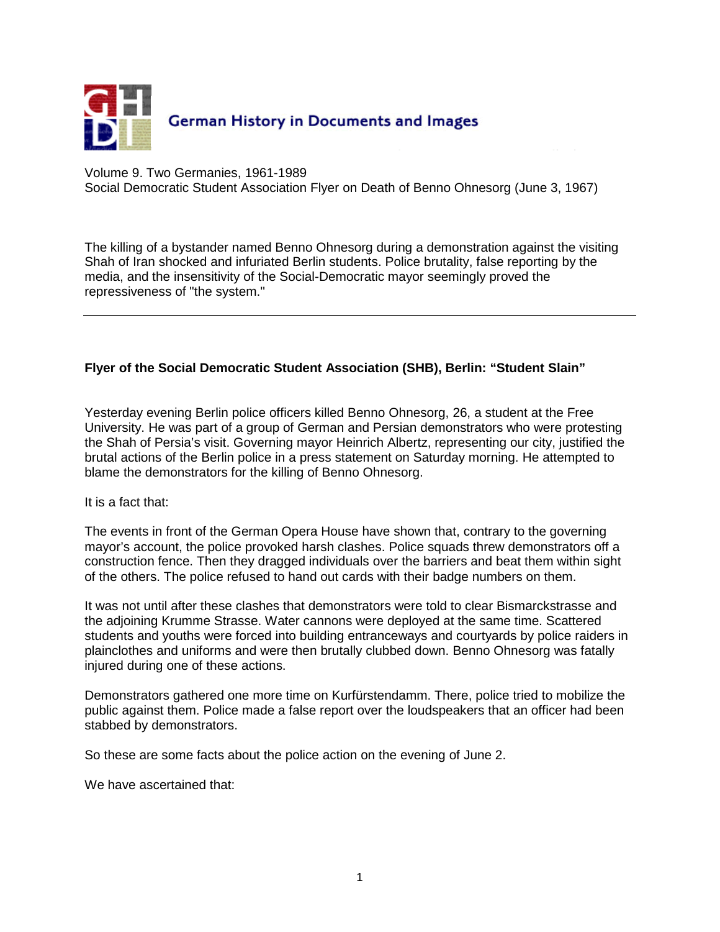

Volume 9. Two Germanies, 1961-1989 Social Democratic Student Association Flyer on Death of Benno Ohnesorg (June 3, 1967)

The killing of a bystander named Benno Ohnesorg during a demonstration against the visiting Shah of Iran shocked and infuriated Berlin students. Police brutality, false reporting by the media, and the insensitivity of the Social-Democratic mayor seemingly proved the repressiveness of "the system."

## **Flyer of the Social Democratic Student Association (SHB), Berlin: "Student Slain"**

Yesterday evening Berlin police officers killed Benno Ohnesorg, 26, a student at the Free University. He was part of a group of German and Persian demonstrators who were protesting the Shah of Persia's visit. Governing mayor Heinrich Albertz, representing our city, justified the brutal actions of the Berlin police in a press statement on Saturday morning. He attempted to blame the demonstrators for the killing of Benno Ohnesorg.

It is a fact that:

The events in front of the German Opera House have shown that, contrary to the governing mayor's account, the police provoked harsh clashes. Police squads threw demonstrators off a construction fence. Then they dragged individuals over the barriers and beat them within sight of the others. The police refused to hand out cards with their badge numbers on them.

It was not until after these clashes that demonstrators were told to clear Bismarckstrasse and the adjoining Krumme Strasse. Water cannons were deployed at the same time. Scattered students and youths were forced into building entranceways and courtyards by police raiders in plainclothes and uniforms and were then brutally clubbed down. Benno Ohnesorg was fatally injured during one of these actions.

Demonstrators gathered one more time on Kurfürstendamm. There, police tried to mobilize the public against them. Police made a false report over the loudspeakers that an officer had been stabbed by demonstrators.

So these are some facts about the police action on the evening of June 2.

We have ascertained that: